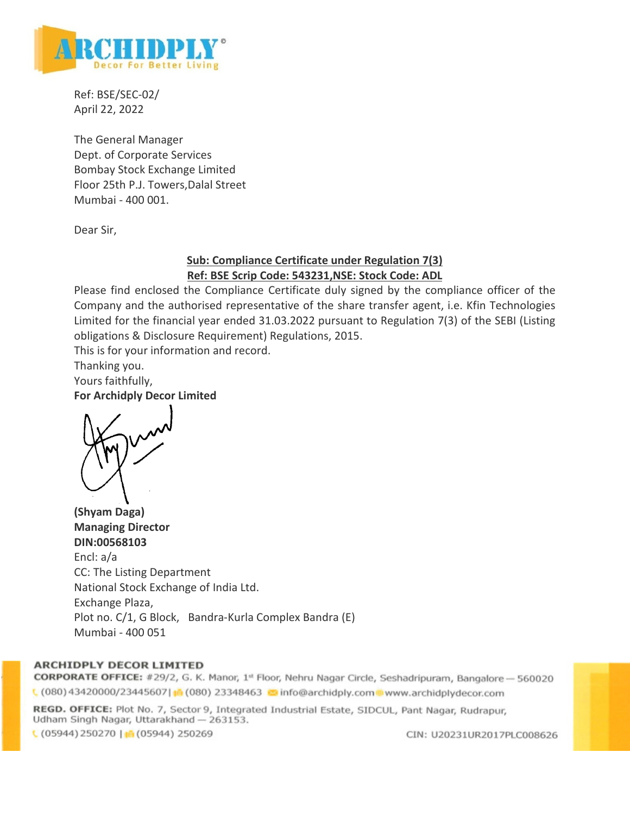

Ref: BSE/SEC-02/ April 22, 2022

The General Manager Dept. of Corporate Services Bombay Stock Exchange Limited Floor 25th P.J. Towers,Dalal Street Mumbai - 400 001.

Dear Sir,

# **Sub: Compliance Certificate under Regulation 7(3) Ref: BSE Scrip Code: 543231,NSE: Stock Code: ADL**

Please find enclosed the Compliance Certificate duly signed by the compliance officer of the Company and the authorised representative of the share transfer agent, i.e. Kfin Technologies Limited for the financial year ended 31.03.2022 pursuant to Regulation 7(3) of the SEBI (Listing obligations & Disclosure Requirement) Regulations, 2015.

This is for your information and record.

Thanking you.

Yours faithfully, **For Archidply Decor Limited** 

**(Shyam Daga) Managing Director DIN:00568103**  Encl: a/a CC: The Listing Department National Stock Exchange of India Ltd. Exchange Plaza, Plot no. C/1, G Block, Bandra-Kurla Complex Bandra (E) Mumbai - 400 051

## **ARCHIDPLY DECOR LIMITED**

CORPORATE OFFICE: #29/2, G. K. Manor, 1st Floor, Nehru Nagar Circle, Seshadripuram, Bangalore - 560020 (080) 43420000/23445607| 16 (080) 23348463 c info@archidply.com www.archidplydecor.com

REGD. OFFICE: Plot No. 7, Sector 9, Integrated Industrial Estate, SIDCUL, Pant Nagar, Rudrapur, Udham Singh Nagar, Uttarakhand - 263153.

 $(05944)$  250270 |  $(05944)$  250269

CIN: U20231UR2017PLC008626